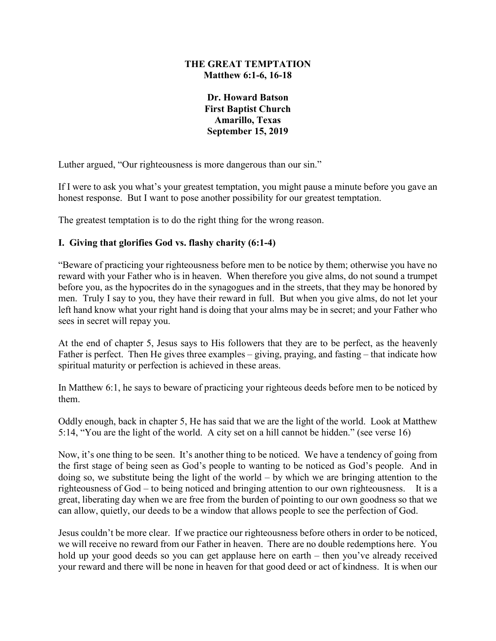### **THE GREAT TEMPTATION Matthew 6:1-6, 16-18**

**Dr. Howard Batson First Baptist Church Amarillo, Texas September 15, 2019**

Luther argued, "Our righteousness is more dangerous than our sin."

If I were to ask you what's your greatest temptation, you might pause a minute before you gave an honest response. But I want to pose another possibility for our greatest temptation.

The greatest temptation is to do the right thing for the wrong reason.

# **I. Giving that glorifies God vs. flashy charity (6:1-4)**

"Beware of practicing your righteousness before men to be notice by them; otherwise you have no reward with your Father who is in heaven. When therefore you give alms, do not sound a trumpet before you, as the hypocrites do in the synagogues and in the streets, that they may be honored by men. Truly I say to you, they have their reward in full. But when you give alms, do not let your left hand know what your right hand is doing that your alms may be in secret; and your Father who sees in secret will repay you.

At the end of chapter 5, Jesus says to His followers that they are to be perfect, as the heavenly Father is perfect. Then He gives three examples – giving, praying, and fasting – that indicate how spiritual maturity or perfection is achieved in these areas.

In Matthew 6:1, he says to beware of practicing your righteous deeds before men to be noticed by them.

Oddly enough, back in chapter 5, He has said that we are the light of the world. Look at Matthew 5:14, "You are the light of the world. A city set on a hill cannot be hidden." (see verse 16)

Now, it's one thing to be seen. It's another thing to be noticed. We have a tendency of going from the first stage of being seen as God's people to wanting to be noticed as God's people. And in doing so, we substitute being the light of the world – by which we are bringing attention to the righteousness of God – to being noticed and bringing attention to our own righteousness. It is a great, liberating day when we are free from the burden of pointing to our own goodness so that we can allow, quietly, our deeds to be a window that allows people to see the perfection of God.

Jesus couldn't be more clear. If we practice our righteousness before others in order to be noticed, we will receive no reward from our Father in heaven. There are no double redemptions here. You hold up your good deeds so you can get applause here on earth – then you've already received your reward and there will be none in heaven for that good deed or act of kindness. It is when our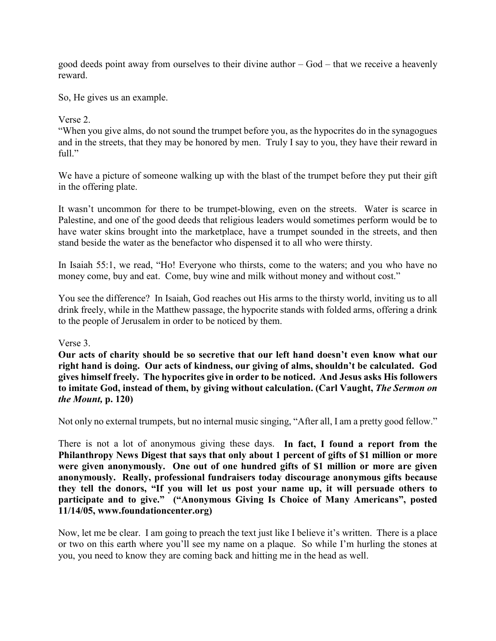good deeds point away from ourselves to their divine author – God – that we receive a heavenly reward.

So, He gives us an example.

### Verse 2.

"When you give alms, do not sound the trumpet before you, as the hypocrites do in the synagogues and in the streets, that they may be honored by men. Truly I say to you, they have their reward in full."

We have a picture of someone walking up with the blast of the trumpet before they put their gift in the offering plate.

It wasn't uncommon for there to be trumpet-blowing, even on the streets. Water is scarce in Palestine, and one of the good deeds that religious leaders would sometimes perform would be to have water skins brought into the marketplace, have a trumpet sounded in the streets, and then stand beside the water as the benefactor who dispensed it to all who were thirsty.

In Isaiah 55:1, we read, "Ho! Everyone who thirsts, come to the waters; and you who have no money come, buy and eat. Come, buy wine and milk without money and without cost."

You see the difference? In Isaiah, God reaches out His arms to the thirsty world, inviting us to all drink freely, while in the Matthew passage, the hypocrite stands with folded arms, offering a drink to the people of Jerusalem in order to be noticed by them.

#### Verse 3.

**Our acts of charity should be so secretive that our left hand doesn't even know what our right hand is doing. Our acts of kindness, our giving of alms, shouldn't be calculated. God gives himself freely. The hypocrites give in order to be noticed. And Jesus asks His followers to imitate God, instead of them, by giving without calculation. (Carl Vaught,** *The Sermon on the Mount,* **p. 120)**

Not only no external trumpets, but no internal music singing, "After all, I am a pretty good fellow."

There is not a lot of anonymous giving these days. **In fact, I found a report from the Philanthropy News Digest that says that only about 1 percent of gifts of \$1 million or more were given anonymously. One out of one hundred gifts of \$1 million or more are given anonymously. Really, professional fundraisers today discourage anonymous gifts because they tell the donors, "If you will let us post your name up, it will persuade others to participate and to give." ("Anonymous Giving Is Choice of Many Americans", posted 11/14/05, www.foundationcenter.org)**

Now, let me be clear. I am going to preach the text just like I believe it's written. There is a place or two on this earth where you'll see my name on a plaque. So while I'm hurling the stones at you, you need to know they are coming back and hitting me in the head as well.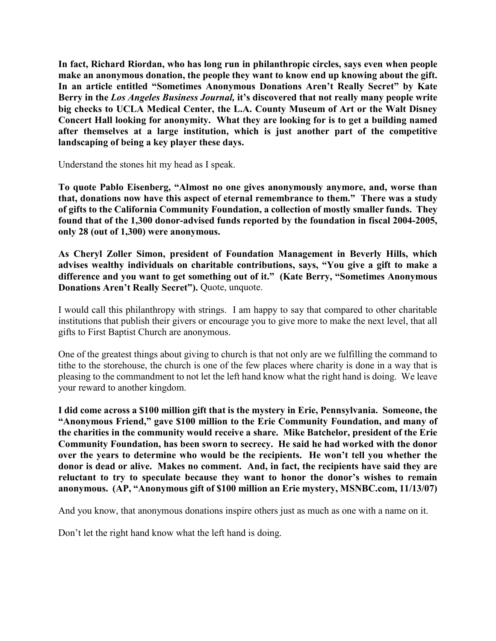**In fact, Richard Riordan, who has long run in philanthropic circles, says even when people**  make an anonymous donation, the people they want to know end up knowing about the gift. **In an article entitled "Sometimes Anonymous Donations Aren't Really Secret" by Kate Berry in the** *Los Angeles Business Journal,* **it's discovered that not really many people write big checks to UCLA Medical Center, the L.A. County Museum of Art or the Walt Disney Concert Hall looking for anonymity. What they are looking for is to get a building named after themselves at a large institution, which is just another part of the competitive landscaping of being a key player these days.** 

Understand the stones hit my head as I speak.

**To quote Pablo Eisenberg, "Almost no one gives anonymously anymore, and, worse than that, donations now have this aspect of eternal remembrance to them." There was a study of gifts to the California Community Foundation, a collection of mostly smaller funds. They found that of the 1,300 donor-advised funds reported by the foundation in fiscal 2004-2005, only 28 (out of 1,300) were anonymous.**

**As Cheryl Zoller Simon, president of Foundation Management in Beverly Hills, which advises wealthy individuals on charitable contributions, says, "You give a gift to make a difference and you want to get something out of it." (Kate Berry, "Sometimes Anonymous Donations Aren't Really Secret").** Quote, unquote.

I would call this philanthropy with strings. I am happy to say that compared to other charitable institutions that publish their givers or encourage you to give more to make the next level, that all gifts to First Baptist Church are anonymous.

One of the greatest things about giving to church is that not only are we fulfilling the command to tithe to the storehouse, the church is one of the few places where charity is done in a way that is pleasing to the commandment to not let the left hand know what the right hand is doing. We leave your reward to another kingdom.

**I did come across a \$100 million gift that is the mystery in Erie, Pennsylvania. Someone, the "Anonymous Friend," gave \$100 million to the Erie Community Foundation, and many of the charities in the community would receive a share. Mike Batchelor, president of the Erie Community Foundation, has been sworn to secrecy. He said he had worked with the donor over the years to determine who would be the recipients. He won't tell you whether the donor is dead or alive. Makes no comment. And, in fact, the recipients have said they are reluctant to try to speculate because they want to honor the donor's wishes to remain anonymous. (AP, "Anonymous gift of \$100 million an Erie mystery, MSNBC.com, 11/13/07)**

And you know, that anonymous donations inspire others just as much as one with a name on it.

Don't let the right hand know what the left hand is doing.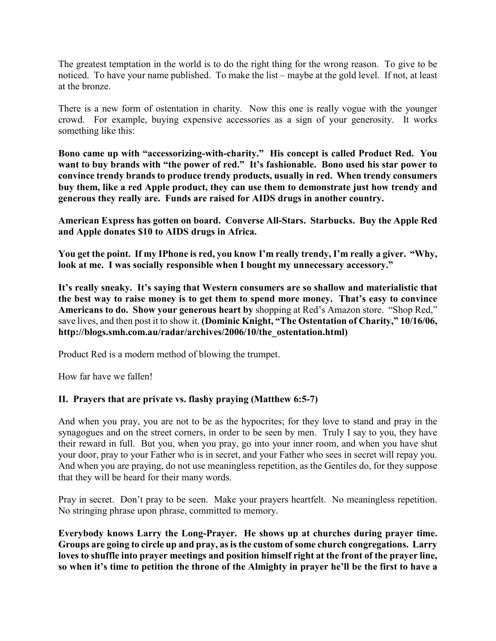The greatest temptation in the world is to do the right thing for the wrong reason. To give to be noticed. To have your name published. To make the list – maybe at the gold level. If not, at least at the bronze.

There is a new form of ostentation in charity. Now this one is really vogue with the younger crowd. For example, buying expensive accessories as a sign of your generosity. It works something like this:

**Bono came up with "accessorizing-with-charity." His concept is called Product Red. You**  want to buy brands with "the power of red." It's fashionable. Bono used his star power to **convince trendy brands to produce trendy products, usually in red. When trendy consumers buy them, like a red Apple product, they can use them to demonstrate just how trendy and generous they really are. Funds are raised for AIDS drugs in another country.**

**American Express has gotten on board. Converse All-Stars. Starbucks. Buy the Apple Red and Apple donates \$10 to AIDS drugs in Africa.**

**You get the point. If my IPhone is red, you know I'm really trendy, I'm really a giver. "Why, look at me. I was socially responsible when I bought my unnecessary accessory."**

**It's really sneaky. It's saying that Western consumers are so shallow and materialistic that the best way to raise money is to get them to spend more money. That's easy to convince Americans to do. Show your generous heart by** shopping at Red's Amazon store. "Shop Red," save lives, and then post it to show it. **(Dominic Knight, "The Ostentation of Charity," 10/16/06, http://blogs.smh.com.au/radar/archives/2006/10/the\_ostentation.html)**

Product Red is a modern method of blowing the trumpet.

How far have we fallen!

# **II. Prayers that are private vs. flashy praying (Matthew 6:5-7)**

And when you pray, you are not to be as the hypocrites; for they love to stand and pray in the synagogues and on the street corners, in order to be seen by men. Truly I say to you, they have their reward in full. But you, when you pray, go into your inner room, and when you have shut your door, pray to your Father who is in secret, and your Father who sees in secret will repay you. And when you are praying, do not use meaningless repetition, as the Gentiles do, for they suppose that they will be heard for their many words.

Pray in secret. Don't pray to be seen. Make your prayers heartfelt. No meaningless repetition. No stringing phrase upon phrase, committed to memory.

**Everybody knows Larry the Long-Prayer. He shows up at churches during prayer time. Groups are going to circle up and pray, as is the custom of some church congregations. Larry loves to shuffle into prayer meetings and position himself right at the front of the prayer line, so when it's time to petition the throne of the Almighty in prayer he'll be the first to have a**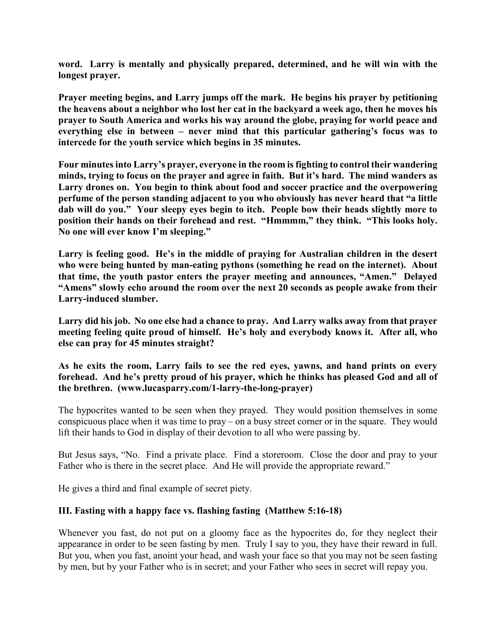**word. Larry is mentally and physically prepared, determined, and he will win with the longest prayer.**

**Prayer meeting begins, and Larry jumps off the mark. He begins his prayer by petitioning the heavens about a neighbor who lost her cat in the backyard a week ago, then he moves his prayer to South America and works his way around the globe, praying for world peace and everything else in between – never mind that this particular gathering's focus was to intercede for the youth service which begins in 35 minutes.**

**Four minutes into Larry's prayer, everyone in the room is fighting to control their wandering minds, trying to focus on the prayer and agree in faith. But it's hard. The mind wanders as Larry drones on. You begin to think about food and soccer practice and the overpowering perfume of the person standing adjacent to you who obviously has never heard that "a little dab will do you." Your sleepy eyes begin to itch. People bow their heads slightly more to position their hands on their forehead and rest. "Hmmmm," they think. "This looks holy. No one will ever know I'm sleeping."**

**Larry is feeling good. He's in the middle of praying for Australian children in the desert who were being hunted by man-eating pythons (something he read on the internet). About that time, the youth pastor enters the prayer meeting and announces, "Amen." Delayed "Amens" slowly echo around the room over the next 20 seconds as people awake from their Larry-induced slumber.**

**Larry did his job. No one else had a chance to pray. And Larry walks away from that prayer meeting feeling quite proud of himself. He's holy and everybody knows it. After all, who else can pray for 45 minutes straight?**

**As he exits the room, Larry fails to see the red eyes, yawns, and hand prints on every forehead. And he's pretty proud of his prayer, which he thinks has pleased God and all of the brethren. (www.lucasparry.com/1-larry-the-long-prayer)**

The hypocrites wanted to be seen when they prayed. They would position themselves in some conspicuous place when it was time to pray – on a busy street corner or in the square. They would lift their hands to God in display of their devotion to all who were passing by.

But Jesus says, "No. Find a private place. Find a storeroom. Close the door and pray to your Father who is there in the secret place. And He will provide the appropriate reward."

He gives a third and final example of secret piety.

# **III. Fasting with a happy face vs. flashing fasting (Matthew 5:16-18)**

Whenever you fast, do not put on a gloomy face as the hypocrites do, for they neglect their appearance in order to be seen fasting by men. Truly I say to you, they have their reward in full. But you, when you fast, anoint your head, and wash your face so that you may not be seen fasting by men, but by your Father who is in secret; and your Father who sees in secret will repay you.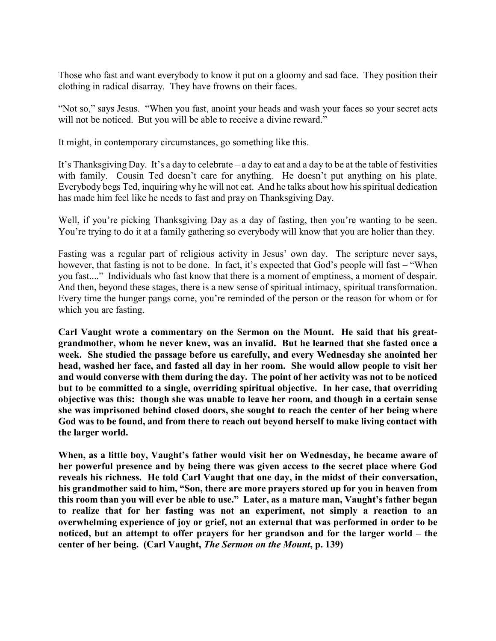Those who fast and want everybody to know it put on a gloomy and sad face. They position their clothing in radical disarray. They have frowns on their faces.

"Not so," says Jesus. "When you fast, anoint your heads and wash your faces so your secret acts will not be noticed. But you will be able to receive a divine reward."

It might, in contemporary circumstances, go something like this.

It's Thanksgiving Day. It's a day to celebrate – a day to eat and a day to be at the table of festivities with family. Cousin Ted doesn't care for anything. He doesn't put anything on his plate. Everybody begs Ted, inquiring why he will not eat. And he talks about how his spiritual dedication has made him feel like he needs to fast and pray on Thanksgiving Day.

Well, if you're picking Thanksgiving Day as a day of fasting, then you're wanting to be seen. You're trying to do it at a family gathering so everybody will know that you are holier than they.

Fasting was a regular part of religious activity in Jesus' own day. The scripture never says, however, that fasting is not to be done. In fact, it's expected that God's people will fast – "When you fast...." Individuals who fast know that there is a moment of emptiness, a moment of despair. And then, beyond these stages, there is a new sense of spiritual intimacy, spiritual transformation. Every time the hunger pangs come, you're reminded of the person or the reason for whom or for which you are fasting.

**Carl Vaught wrote a commentary on the Sermon on the Mount. He said that his greatgrandmother, whom he never knew, was an invalid. But he learned that she fasted once a week. She studied the passage before us carefully, and every Wednesday she anointed her head, washed her face, and fasted all day in her room. She would allow people to visit her and would converse with them during the day. The point of her activity was not to be noticed but to be committed to a single, overriding spiritual objective. In her case, that overriding objective was this: though she was unable to leave her room, and though in a certain sense she was imprisoned behind closed doors, she sought to reach the center of her being where God was to be found, and from there to reach out beyond herself to make living contact with the larger world.**

**When, as a little boy, Vaught's father would visit her on Wednesday, he became aware of her powerful presence and by being there was given access to the secret place where God reveals his richness. He told Carl Vaught that one day, in the midst of their conversation, his grandmother said to him, "Son, there are more prayers stored up for you in heaven from this room than you will ever be able to use." Later, as a mature man, Vaught's father began to realize that for her fasting was not an experiment, not simply a reaction to an overwhelming experience of joy or grief, not an external that was performed in order to be noticed, but an attempt to offer prayers for her grandson and for the larger world – the center of her being. (Carl Vaught,** *The Sermon on the Mount***, p. 139)**